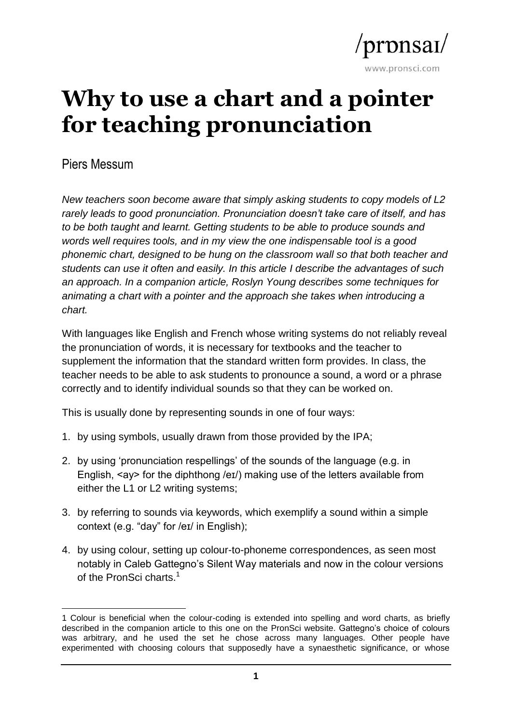

# **Why to use a chart and a pointer for teaching pronunciation**

Piers Messum

*New teachers soon become aware that simply asking students to copy models of L2 rarely leads to good pronunciation. Pronunciation doesn't take care of itself, and has to be both taught and learnt. Getting students to be able to produce sounds and words well requires tools, and in my view the one indispensable tool is a good phonemic chart, designed to be hung on the classroom wall so that both teacher and students can use it often and easily. In this article I describe the advantages of such an approach. In a companion article, Roslyn Young describes some techniques for animating a chart with a pointer and the approach she takes when introducing a chart.*

With languages like English and French whose writing systems do not reliably reveal the pronunciation of words, it is necessary for textbooks and the teacher to supplement the information that the standard written form provides. In class, the teacher needs to be able to ask students to pronounce a sound, a word or a phrase correctly and to identify individual sounds so that they can be worked on.

This is usually done by representing sounds in one of four ways:

- 1. by using symbols, usually drawn from those provided by the IPA;
- 2. by using 'pronunciation respellings' of the sounds of the language (e.g. in English, <ay> for the diphthong /eɪ/) making use of the letters available from either the L1 or L2 writing systems;
- 3. by referring to sounds via keywords, which exemplify a sound within a simple context (e.g. "day" for /eɪ/ in English);
- 4. by using colour, setting up colour-to-phoneme correspondences, as seen most notably in Caleb Gattegno's Silent Way materials and now in the colour versions of the PronSci charts.<sup>1</sup>

**<sup>.</sup>** 1 Colour is beneficial when the colour-coding is extended into spelling and word charts, as briefly described in the companion article to this one on the PronSci website. Gattegno's choice of colours was arbitrary, and he used the set he chose across many languages. Other people have experimented with choosing colours that supposedly have a synaesthetic significance, or whose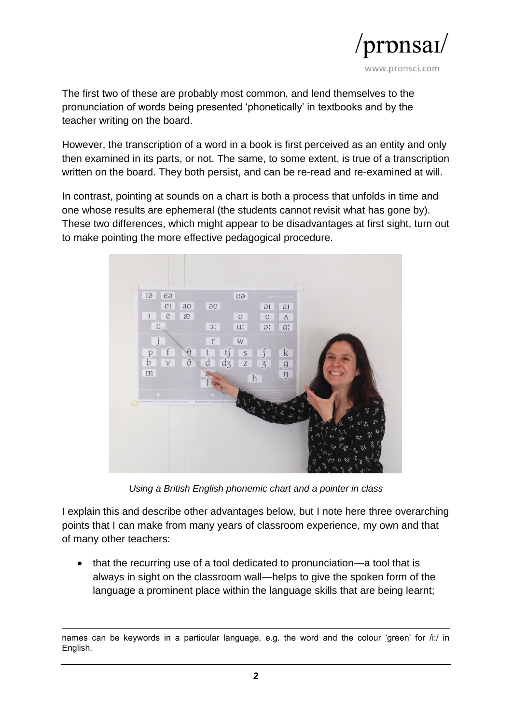

The first two of these are probably most common, and lend themselves to the pronunciation of words being presented 'phonetically' in textbooks and by the teacher writing on the board.

However, the transcription of a word in a book is first perceived as an entity and only then examined in its parts, or not. The same, to some extent, is true of a transcription written on the board. They both persist, and can be re-read and re-examined at will.

In contrast, pointing at sounds on a chart is both a process that unfolds in time and one whose results are ephemeral (the students cannot revisit what has gone by). These two differences, which might appear to be disadvantages at first sight, turn out to make pointing the more effective pedagogical procedure.



*Using a British English phonemic chart and a pointer in class*

I explain this and describe other advantages below, but I note here three overarching points that I can make from many years of classroom experience, my own and that of many other teachers:

• that the recurring use of a tool dedicated to pronunciation—a tool that is always in sight on the classroom wall—helps to give the spoken form of the language a prominent place within the language skills that are being learnt;

<sup>1</sup> names can be keywords in a particular language, e.g. the word and the colour 'green' for /i:/ in English.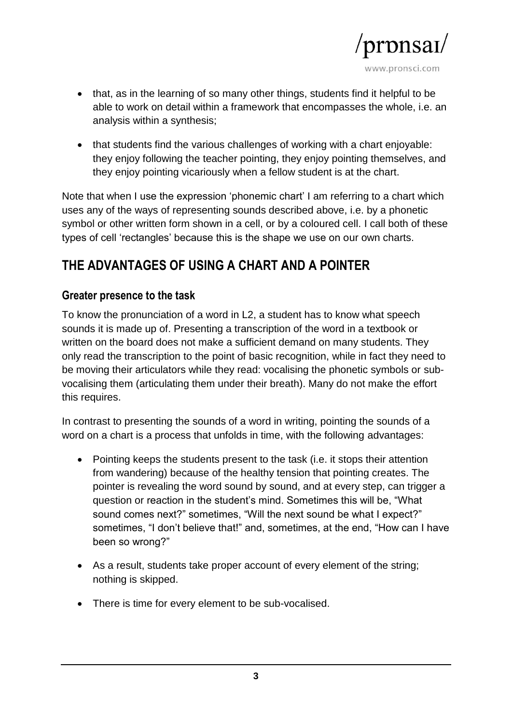

- that, as in the learning of so many other things, students find it helpful to be able to work on detail within a framework that encompasses the whole, i.e. an analysis within a synthesis;
- that students find the various challenges of working with a chart enjoyable: they enjoy following the teacher pointing, they enjoy pointing themselves, and they enjoy pointing vicariously when a fellow student is at the chart.

Note that when I use the expression 'phonemic chart' I am referring to a chart which uses any of the ways of representing sounds described above, i.e. by a phonetic symbol or other written form shown in a cell, or by a coloured cell. I call both of these types of cell 'rectangles' because this is the shape we use on our own charts.

# **THE ADVANTAGES OF USING A CHART AND A POINTER**

#### **Greater presence to the task**

To know the pronunciation of a word in L2, a student has to know what speech sounds it is made up of. Presenting a transcription of the word in a textbook or written on the board does not make a sufficient demand on many students. They only read the transcription to the point of basic recognition, while in fact they need to be moving their articulators while they read: vocalising the phonetic symbols or subvocalising them (articulating them under their breath). Many do not make the effort this requires.

In contrast to presenting the sounds of a word in writing, pointing the sounds of a word on a chart is a process that unfolds in time, with the following advantages:

- Pointing keeps the students present to the task (i.e. it stops their attention from wandering) because of the healthy tension that pointing creates. The pointer is revealing the word sound by sound, and at every step, can trigger a question or reaction in the student's mind. Sometimes this will be, "What sound comes next?" sometimes, "Will the next sound be what I expect?" sometimes, "I don't believe that!" and, sometimes, at the end, "How can I have been so wrong?"
- As a result, students take proper account of every element of the string; nothing is skipped.
- There is time for every element to be sub-vocalised.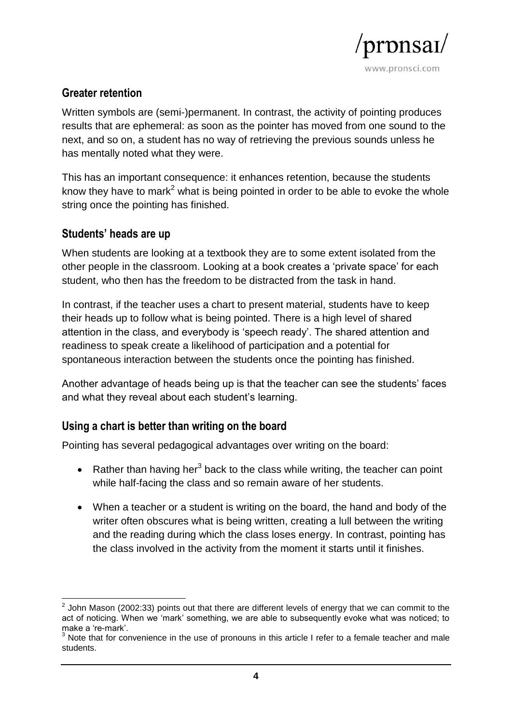

## **Greater retention**

Written symbols are (semi-)permanent. In contrast, the activity of pointing produces results that are ephemeral: as soon as the pointer has moved from one sound to the next, and so on, a student has no way of retrieving the previous sounds unless he has mentally noted what they were.

This has an important consequence: it enhances retention, because the students know they have to mark<sup>2</sup> what is being pointed in order to be able to evoke the whole string once the pointing has finished.

# **Students' heads are up**

When students are looking at a textbook they are to some extent isolated from the other people in the classroom. Looking at a book creates a 'private space' for each student, who then has the freedom to be distracted from the task in hand.

In contrast, if the teacher uses a chart to present material, students have to keep their heads up to follow what is being pointed. There is a high level of shared attention in the class, and everybody is 'speech ready'. The shared attention and readiness to speak create a likelihood of participation and a potential for spontaneous interaction between the students once the pointing has finished.

Another advantage of heads being up is that the teacher can see the students' faces and what they reveal about each student's learning.

# **Using a chart is better than writing on the board**

Pointing has several pedagogical advantages over writing on the board:

- Rather than having her<sup>3</sup> back to the class while writing, the teacher can point while half-facing the class and so remain aware of her students.
- When a teacher or a student is writing on the board, the hand and body of the writer often obscures what is being written, creating a lull between the writing and the reading during which the class loses energy. In contrast, pointing has the class involved in the activity from the moment it starts until it finishes.

 2 John Mason (2002:33) points out that there are different levels of energy that we can commit to the act of noticing. When we 'mark' something, we are able to subsequently evoke what was noticed; to make a 're-mark'.

 $3$  Note that for convenience in the use of pronouns in this article I refer to a female teacher and male students.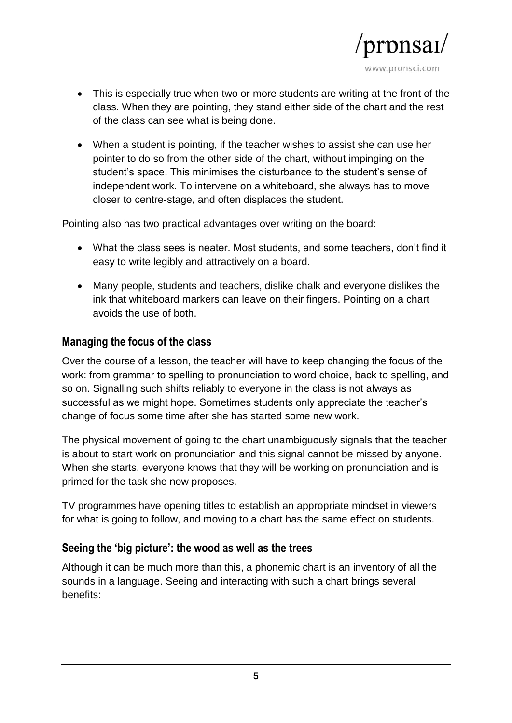

- This is especially true when two or more students are writing at the front of the class. When they are pointing, they stand either side of the chart and the rest of the class can see what is being done.
- When a student is pointing, if the teacher wishes to assist she can use her pointer to do so from the other side of the chart, without impinging on the student's space. This minimises the disturbance to the student's sense of independent work. To intervene on a whiteboard, she always has to move closer to centre-stage, and often displaces the student.

Pointing also has two practical advantages over writing on the board:

- What the class sees is neater. Most students, and some teachers, don't find it easy to write legibly and attractively on a board.
- Many people, students and teachers, dislike chalk and everyone dislikes the ink that whiteboard markers can leave on their fingers. Pointing on a chart avoids the use of both.

#### **Managing the focus of the class**

Over the course of a lesson, the teacher will have to keep changing the focus of the work: from grammar to spelling to pronunciation to word choice, back to spelling, and so on. Signalling such shifts reliably to everyone in the class is not always as successful as we might hope. Sometimes students only appreciate the teacher's change of focus some time after she has started some new work.

The physical movement of going to the chart unambiguously signals that the teacher is about to start work on pronunciation and this signal cannot be missed by anyone. When she starts, everyone knows that they will be working on pronunciation and is primed for the task she now proposes.

TV programmes have opening titles to establish an appropriate mindset in viewers for what is going to follow, and moving to a chart has the same effect on students.

#### **Seeing the 'big picture': the wood as well as the trees**

Although it can be much more than this, a phonemic chart is an inventory of all the sounds in a language. Seeing and interacting with such a chart brings several benefits: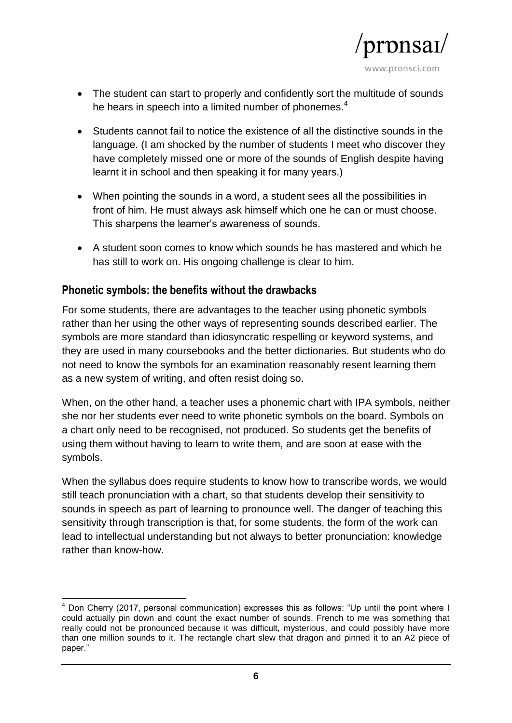

- The student can start to properly and confidently sort the multitude of sounds he hears in speech into a limited number of phonemes.<sup>4</sup>
- Students cannot fail to notice the existence of all the distinctive sounds in the language. (I am shocked by the number of students I meet who discover they have completely missed one or more of the sounds of English despite having learnt it in school and then speaking it for many years.)
- When pointing the sounds in a word, a student sees all the possibilities in front of him. He must always ask himself which one he can or must choose. This sharpens the learner's awareness of sounds.
- A student soon comes to know which sounds he has mastered and which he has still to work on. His ongoing challenge is clear to him.

#### **Phonetic symbols: the benefits without the drawbacks**

For some students, there are advantages to the teacher using phonetic symbols rather than her using the other ways of representing sounds described earlier. The symbols are more standard than idiosyncratic respelling or keyword systems, and they are used in many coursebooks and the better dictionaries. But students who do not need to know the symbols for an examination reasonably resent learning them as a new system of writing, and often resist doing so.

When, on the other hand, a teacher uses a phonemic chart with IPA symbols, neither she nor her students ever need to write phonetic symbols on the board. Symbols on a chart only need to be recognised, not produced. So students get the benefits of using them without having to learn to write them, and are soon at ease with the symbols.

When the syllabus does require students to know how to transcribe words, we would still teach pronunciation with a chart, so that students develop their sensitivity to sounds in speech as part of learning to pronounce well. The danger of teaching this sensitivity through transcription is that, for some students, the form of the work can lead to intellectual understanding but not always to better pronunciation: knowledge rather than know-how.

 $\overline{\phantom{a}}$  $<sup>4</sup>$  Don Cherry (2017, personal communication) expresses this as follows: "Up until the point where I</sup> could actually pin down and count the exact number of sounds, French to me was something that really could not be pronounced because it was difficult, mysterious, and could possibly have more than one million sounds to it. The rectangle chart slew that dragon and pinned it to an A2 piece of paper."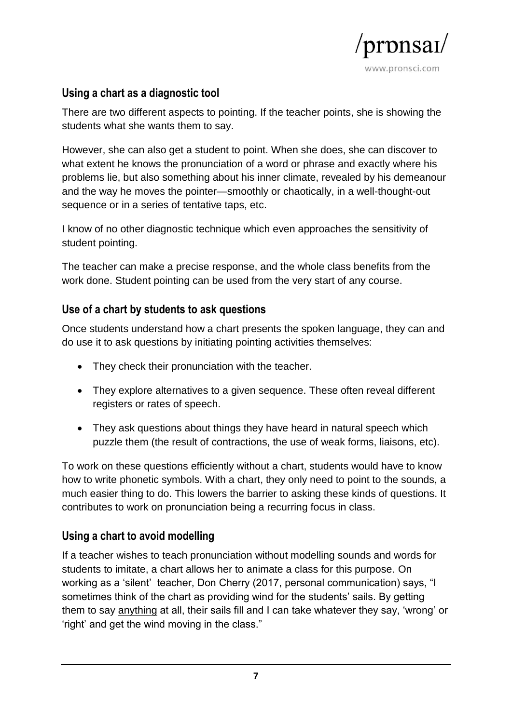

## **Using a chart as a diagnostic tool**

There are two different aspects to pointing. If the teacher points, she is showing the students what she wants them to say.

However, she can also get a student to point. When she does, she can discover to what extent he knows the pronunciation of a word or phrase and exactly where his problems lie, but also something about his inner climate, revealed by his demeanour and the way he moves the pointer—smoothly or chaotically, in a well-thought-out sequence or in a series of tentative taps, etc.

I know of no other diagnostic technique which even approaches the sensitivity of student pointing.

The teacher can make a precise response, and the whole class benefits from the work done. Student pointing can be used from the very start of any course.

#### **Use of a chart by students to ask questions**

Once students understand how a chart presents the spoken language, they can and do use it to ask questions by initiating pointing activities themselves:

- They check their pronunciation with the teacher.
- They explore alternatives to a given sequence. These often reveal different registers or rates of speech.
- They ask questions about things they have heard in natural speech which puzzle them (the result of contractions, the use of weak forms, liaisons, etc).

To work on these questions efficiently without a chart, students would have to know how to write phonetic symbols. With a chart, they only need to point to the sounds, a much easier thing to do. This lowers the barrier to asking these kinds of questions. It contributes to work on pronunciation being a recurring focus in class.

# **Using a chart to avoid modelling**

If a teacher wishes to teach pronunciation without modelling sounds and words for students to imitate, a chart allows her to animate a class for this purpose. On working as a 'silent' teacher, Don Cherry (2017, personal communication) says, "I sometimes think of the chart as providing wind for the students' sails. By getting them to say anything at all, their sails fill and I can take whatever they say, 'wrong' or 'right' and get the wind moving in the class."